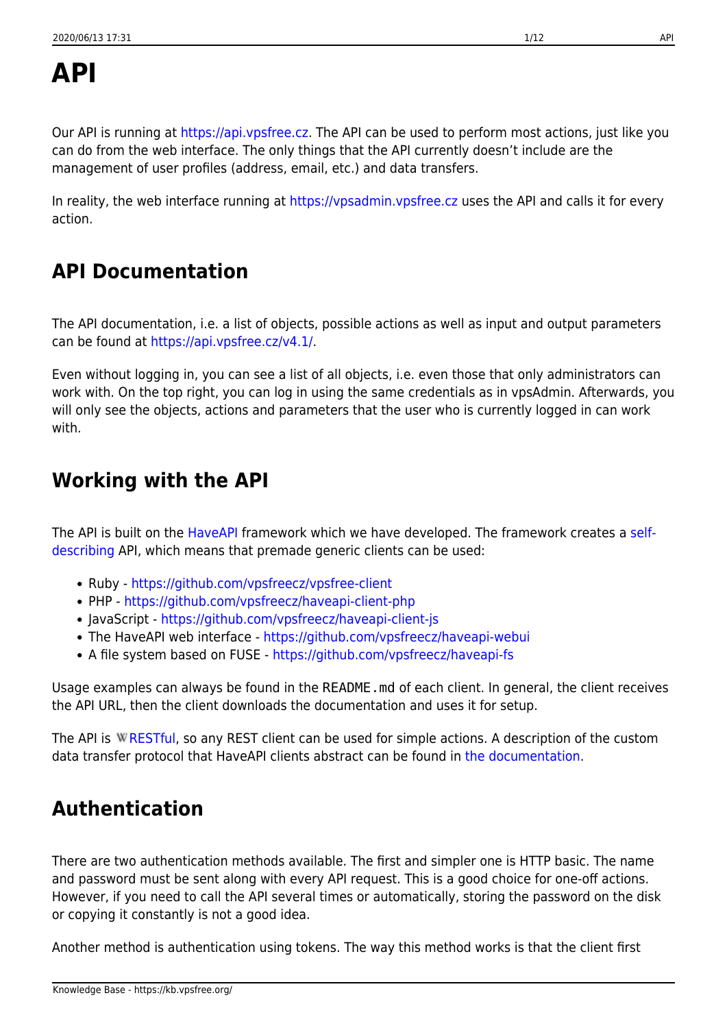# **API**

Our API is running at [https://api.vpsfree.cz.](https://api.vpsfree.cz) The API can be used to perform most actions, just like you can do from the web interface. The only things that the API currently doesn't include are the management of user profiles (address, email, etc.) and data transfers.

In reality, the web interface running at<https://vpsadmin.vpsfree.cz> uses the API and calls it for every action.

## **API Documentation**

The API documentation, i.e. a list of objects, possible actions as well as input and output parameters can be found at <https://api.vpsfree.cz/v4.1/>.

Even without logging in, you can see a list of all objects, i.e. even those that only administrators can work with. On the top right, you can log in using the same credentials as in vpsAdmin. Afterwards, you will only see the objects, actions and parameters that the user who is currently logged in can work with.

## **Working with the API**

The API is built on the [HaveAPI](https://github.com/vpsfreecz/haveapi) framework which we have developed. The framework creates a [self](https://github.com/vpsfreecz/haveapi#what-is-a-self-describing-api)[describing](https://github.com/vpsfreecz/haveapi#what-is-a-self-describing-api) API, which means that premade generic clients can be used:

- Ruby <https://github.com/vpsfreecz/vpsfree-client>
- PHP <https://github.com/vpsfreecz/haveapi-client-php>
- JavaScript <https://github.com/vpsfreecz/haveapi-client-js>
- The HaveAPI web interface <https://github.com/vpsfreecz/haveapi-webui>
- A file system based on FUSE -<https://github.com/vpsfreecz/haveapi-fs>

Usage examples can always be found in the README.md of each client. In general, the client receives the API URL, then the client downloads the documentation and uses it for setup.

The API is W[RESTful,](https://en.wikipedia.org/wiki/Representational state transfer) so any REST client can be used for simple actions. A description of the custom data transfer protocol that HaveAPI clients abstract can be found in [the documentation](https://api.vpsfree.cz/doc/protocol.md).

## **Authentication**

There are two authentication methods available. The first and simpler one is HTTP basic. The name and password must be sent along with every API request. This is a good choice for one-off actions. However, if you need to call the API several times or automatically, storing the password on the disk or copying it constantly is not a good idea.

Another method is authentication using tokens. The way this method works is that the client first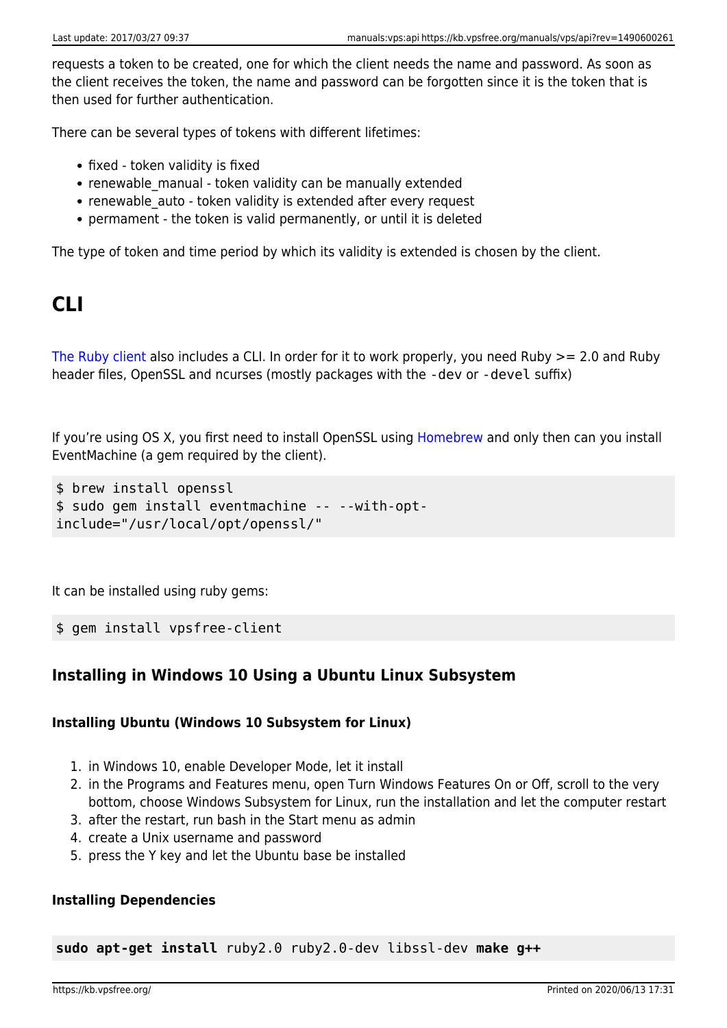requests a token to be created, one for which the client needs the name and password. As soon as the client receives the token, the name and password can be forgotten since it is the token that is then used for further authentication.

There can be several types of tokens with different lifetimes:

- fixed token validity is fixed
- renewable manual token validity can be manually extended
- renewable auto token validity is extended after every request
- permament the token is valid permanently, or until it is deleted

The type of token and time period by which its validity is extended is chosen by the client.

## **CLI**

[The Ruby client](https://github.com/vpsfreecz/vpsfree-client) also includes a CLI. In order for it to work properly, you need Ruby >= 2.0 and Ruby header files, OpenSSL and ncurses (mostly packages with the -dev or -devel suffix)

If you're using OS X, you first need to install OpenSSL using [Homebrew](http://brew.sh/) and only then can you install EventMachine (a gem required by the client).

```
$ brew install openssl
$ sudo gem install eventmachine -- --with-opt-
include="/usr/local/opt/openssl/"
```
It can be installed using ruby gems:

\$ gem install vpsfree-client

## **Installing in Windows 10 Using a Ubuntu Linux Subsystem**

#### **Installing Ubuntu (Windows 10 Subsystem for Linux)**

- 1. in Windows 10, enable Developer Mode, let it install
- 2. in the Programs and Features menu, open Turn Windows Features On or Off, scroll to the very bottom, choose Windows Subsystem for Linux, run the installation and let the computer restart
- 3. after the restart, run bash in the Start menu as admin
- 4. create a Unix username and password
- 5. press the Y key and let the Ubuntu base be installed

#### **Installing Dependencies**

**sudo apt-get install** ruby2.0 ruby2.0-dev libssl-dev **make g++**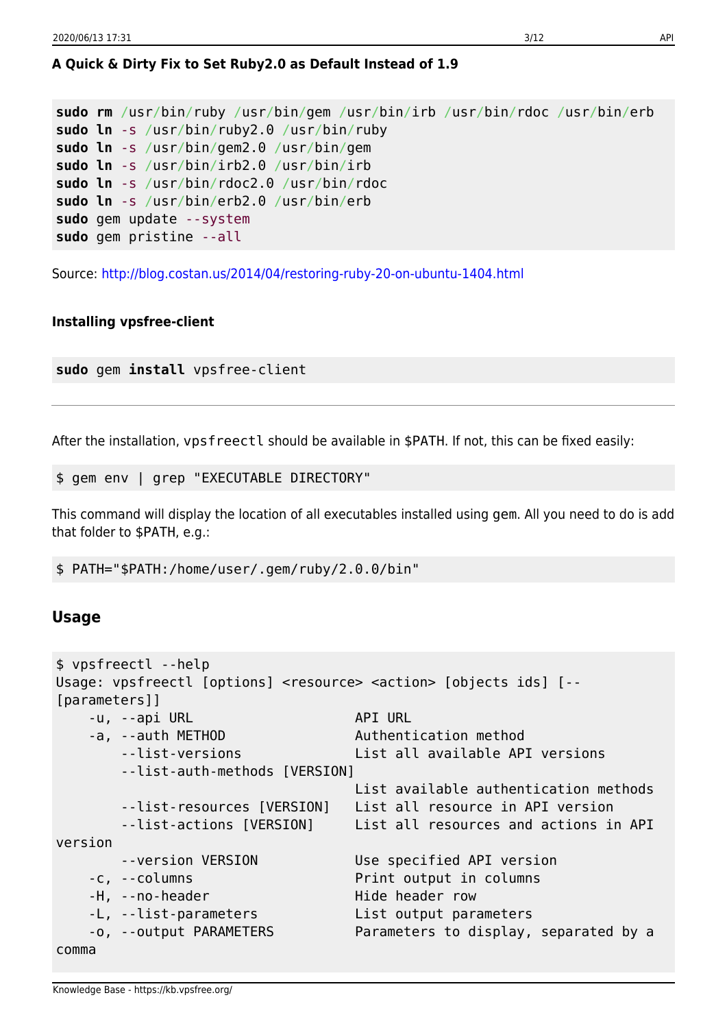### **A Quick & Dirty Fix to Set Ruby2.0 as Default Instead of 1.9**

```
sudo rm /usr/bin/ruby /usr/bin/gem /usr/bin/irb /usr/bin/rdoc /usr/bin/erb
sudo ln -s /usr/bin/ruby2.0 /usr/bin/ruby
sudo ln -s /usr/bin/gem2.0 /usr/bin/gem
sudo ln -s /usr/bin/irb2.0 /usr/bin/irb
sudo ln -s /usr/bin/rdoc2.0 /usr/bin/rdoc
sudo ln -s /usr/bin/erb2.0 /usr/bin/erb
sudo gem update --system
sudo gem pristine --all
```
Source:<http://blog.costan.us/2014/04/restoring-ruby-20-on-ubuntu-1404.html>

#### **Installing vpsfree-client**

**sudo** gem **install** vpsfree-client

After the installation, vpsfreectl should be available in \$PATH. If not, this can be fixed easily:

\$ gem env | grep "EXECUTABLE DIRECTORY"

This command will display the location of all executables installed using gem. All you need to do is add that folder to \$PATH, e.g.:

\$ PATH="\$PATH:/home/user/.gem/ruby/2.0.0/bin"

#### **Usage**

```
$ vpsfreectl --help
Usage: vpsfreectl [options] <resource> <action> [objects ids] [--
[parameters]]
   -u, --api URL API URL
   -a, --auth METHOD Authentication method
       --list-versions List all available API versions
       --list-auth-methods [VERSION]
                                 List available authentication methods
       --list-resources [VERSION] List all resource in API version
       --list-actions [VERSION] List all resources and actions in API
version
       --version VERSION Use specified API version
    -c, --columns Print output in columns
   -H, --no-header Hide header row
   -L, --list-parameters List output parameters
    -o, --output PARAMETERS Parameters to display, separated by a
comma
```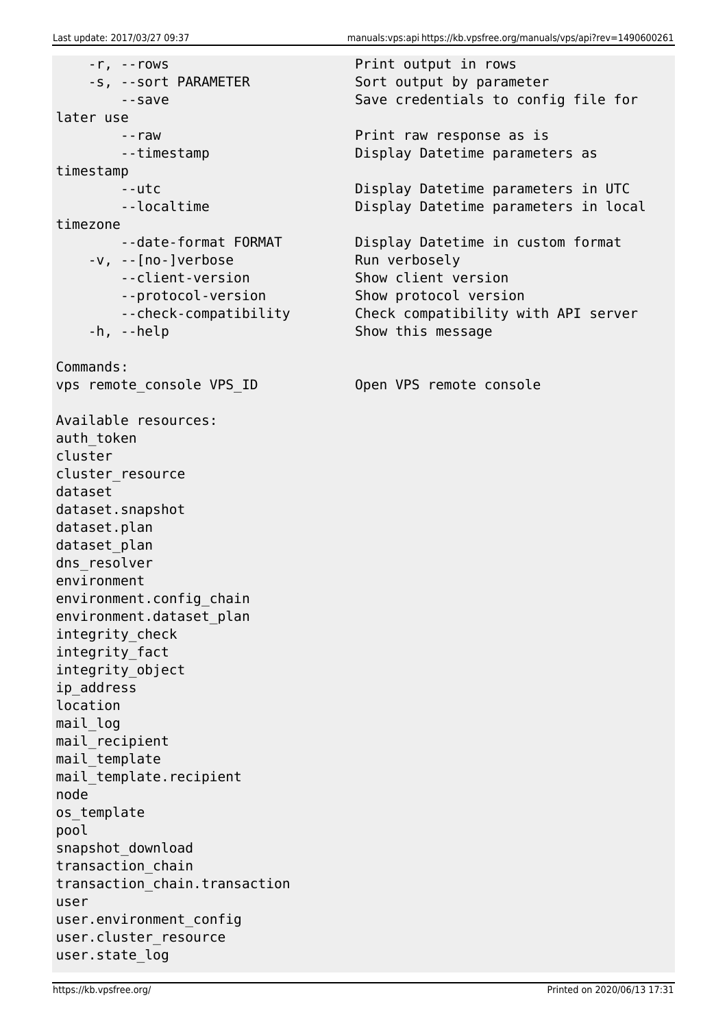-r, --rows Print output in rows -s, --sort PARAMETER Sort output by parameter later use --raw Print raw response as is timestamp timezone -v, --[no-]verbose Run verbosely --client-version Show client version --protocol-version Show protocol version -h, --help Show this message Commands: vps remote console VPS ID Open VPS remote console Available resources: auth token cluster cluster\_resource dataset dataset.snapshot dataset.plan dataset plan dns resolver environment environment.config\_chain environment.dataset\_plan integrity\_check integrity\_fact integrity\_object ip\_address location mail log mail recipient mail template mail template.recipient node os\_template pool snapshot\_download transaction\_chain transaction\_chain.transaction user user.environment\_config user.cluster resource user.state\_log

--save Save credentials to config file for

--timestamp Display Datetime parameters as

 --utc Display Datetime parameters in UTC --localtime **Display Datetime parameters in local** 

--date-format FORMAT Display Datetime in custom format --check-compatibility Check compatibility with API server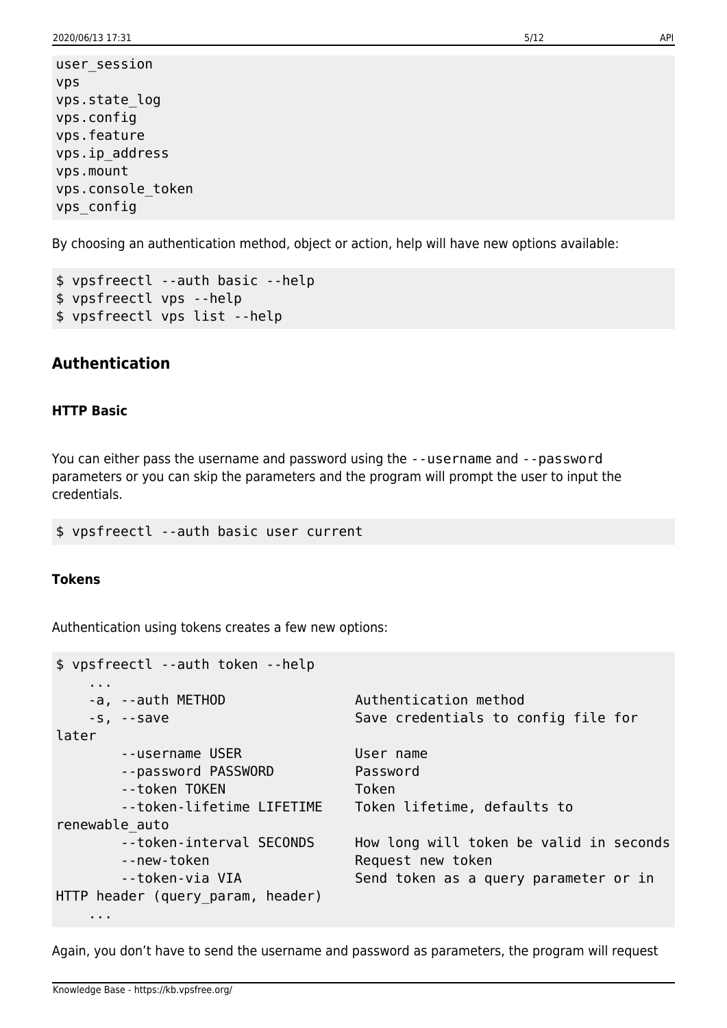user\_session vps vps.state\_log vps.config vps.feature vps.ip\_address vps.mount vps.console\_token vps\_config

By choosing an authentication method, object or action, help will have new options available:

```
$ vpsfreectl --auth basic --help
$ vpsfreectl vps --help
$ vpsfreectl vps list --help
```
## **Authentication**

#### **HTTP Basic**

You can either pass the username and password using the --username and --password parameters or you can skip the parameters and the program will prompt the user to input the credentials.

\$ vpsfreectl --auth basic user current

#### **Tokens**

Authentication using tokens creates a few new options:

| \$ vpsfreectl --auth token --help       |                                                              |  |  |
|-----------------------------------------|--------------------------------------------------------------|--|--|
| $\cdots$<br>-a, --auth METHOD           | Authentication method                                        |  |  |
| $-S, -s$                                | Save credentials to config file for                          |  |  |
| later                                   |                                                              |  |  |
| --username USER                         | User name                                                    |  |  |
| --password PASSWORD                     | Password                                                     |  |  |
| --token TOKEN                           | Token                                                        |  |  |
| --token-lifetime LIFETIME               | Token lifetime, defaults to                                  |  |  |
| renewable auto                          |                                                              |  |  |
| --token-interval SECONDS<br>--new-token | How long will token be valid in seconds<br>Request new token |  |  |
| --token-via VIA                         | Send token as a query parameter or in                        |  |  |
| HTTP header (query_param, header)       |                                                              |  |  |
| .                                       |                                                              |  |  |

Again, you don't have to send the username and password as parameters, the program will request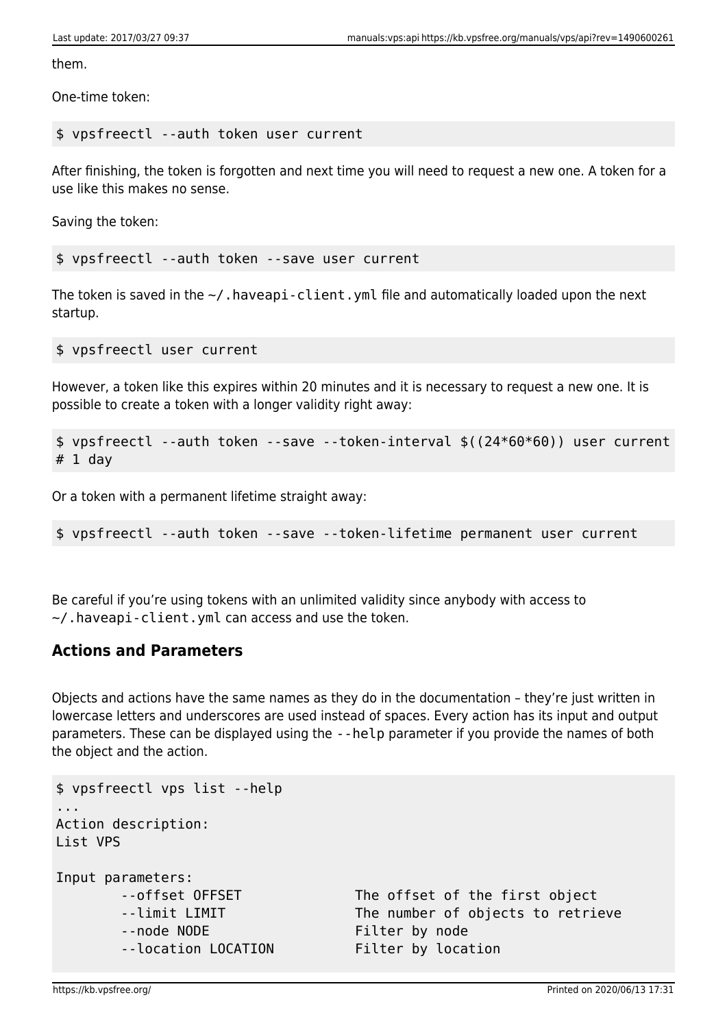them.

One-time token:

#### \$ vpsfreectl --auth token user current

After finishing, the token is forgotten and next time you will need to request a new one. A token for a use like this makes no sense.

Saving the token:

\$ vpsfreectl --auth token --save user current

The token is saved in the  $\sim$ /. haveapi-client. yml file and automatically loaded upon the next startup.

\$ vpsfreectl user current

However, a token like this expires within 20 minutes and it is necessary to request a new one. It is possible to create a token with a longer validity right away:

```
$ vpsfreectl --auth token --save --token-interval $((24*60*60)) user current
# 1 day
```
Or a token with a permanent lifetime straight away:

\$ vpsfreectl --auth token --save --token-lifetime permanent user current

Be careful if you're using tokens with an unlimited validity since anybody with access to  $\sim$ /.haveapi-client.yml can access and use the token.

### **Actions and Parameters**

Objects and actions have the same names as they do in the documentation – they're just written in lowercase letters and underscores are used instead of spaces. Every action has its input and output parameters. These can be displayed using the --help parameter if you provide the names of both the object and the action.

```
$ vpsfreectl vps list --help
...
Action description:
List VPS
Input parameters:
      --offset OFFSET The offset of the first object
      --limit LIMIT The number of objects to retrieve
      --node NODE Filter by node
       --location LOCATION Filter by location
```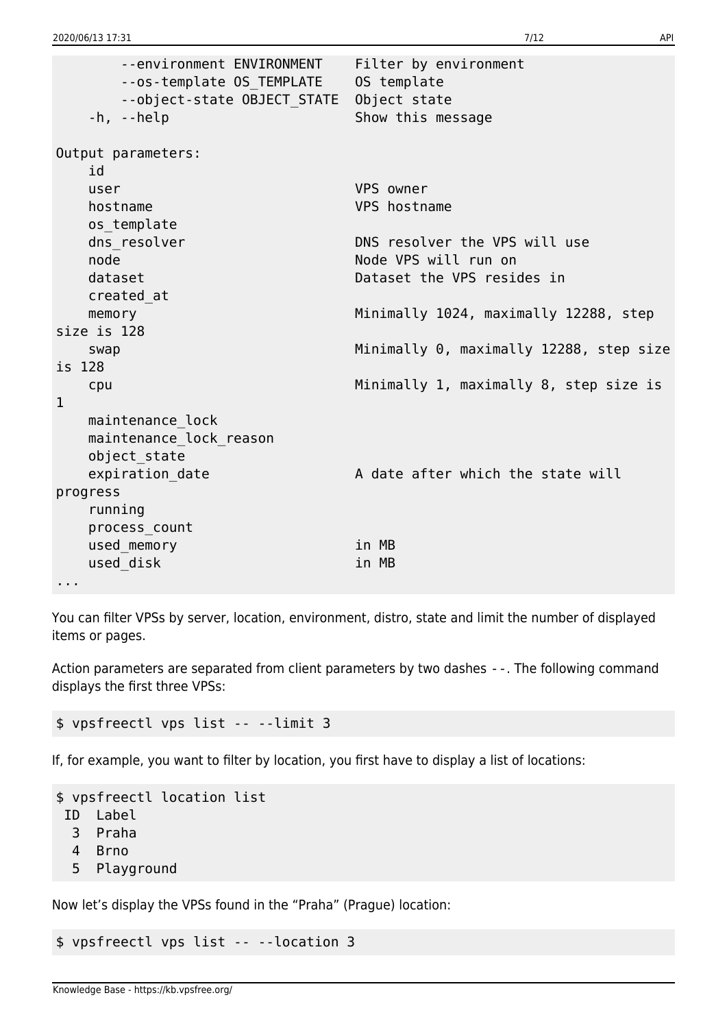--environment ENVIRONMENT Filter by environment --os-template OS\_TEMPLATE OS template --object-state OBJECT\_STATE Object state -h, --help Show this message Output parameters: id user VPS owner hostname VPS hostname os\_template dns resolver DNS resolver the VPS will use node Node VPS will run on dataset Dataset the VPS resides in created\_at memory memory memory manufacture memory memory memory manufacture manufacture memory memory size is 128 swap Minimally 0, maximally 12288, step size is 128 cpu Minimally 1, maximally 8, step size is 1 maintenance\_lock maintenance\_lock\_reason object\_state expiration date A date after which the state will progress running process\_count used memory in MB used disk in MB ...

You can filter VPSs by server, location, environment, distro, state and limit the number of displayed items or pages.

Action parameters are separated from client parameters by two dashes --. The following command displays the first three VPSs:

\$ vpsfreectl vps list -- --limit 3

If, for example, you want to filter by location, you first have to display a list of locations:

```
$ vpsfreectl location list
 ID Label
   3 Praha
   4 Brno
   5 Playground
```
Now let's display the VPSs found in the "Praha" (Prague) location:

\$ vpsfreectl vps list -- --location 3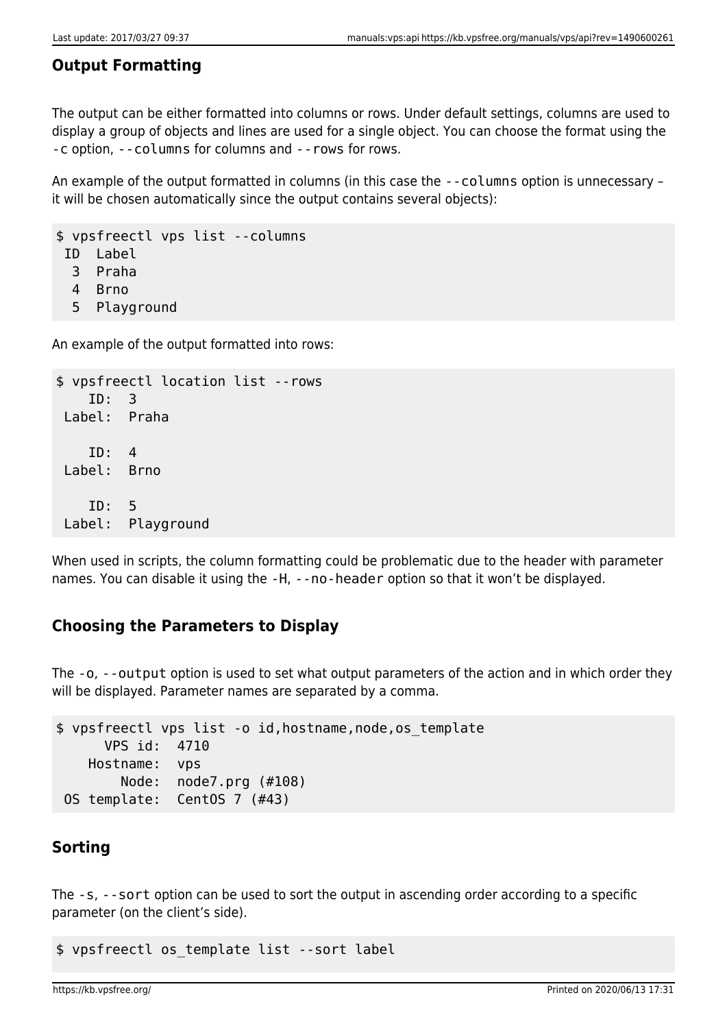## **Output Formatting**

The output can be either formatted into columns or rows. Under default settings, columns are used to display a group of objects and lines are used for a single object. You can choose the format using the -c option, --columns for columns and --rows for rows.

An example of the output formatted in columns (in this case the --columns option is unnecessary – it will be chosen automatically since the output contains several objects):

\$ vpsfreectl vps list --columns ID Label

3 Praha

- 4 Brno
- 5 Playground

An example of the output formatted into rows:

```
$ vpsfreectl location list --rows
     ID: 3
 Label: Praha
     ID: 4
 Label: Brno
     ID: 5
 Label: Playground
```
When used in scripts, the column formatting could be problematic due to the header with parameter names. You can disable it using the -H, --no-header option so that it won't be displayed.

## **Choosing the Parameters to Display**

The -o, --output option is used to set what output parameters of the action and in which order they will be displayed. Parameter names are separated by a comma.

```
$ vpsfreectl vps list -o id,hostname,node,os_template
       VPS id: 4710
    Hostname: vps
         Node: node7.prg (#108)
 OS template: CentOS 7 (#43)
```
## **Sorting**

The -s, --sort option can be used to sort the output in ascending order according to a specific parameter (on the client's side).

\$ vpsfreectl os\_template list --sort label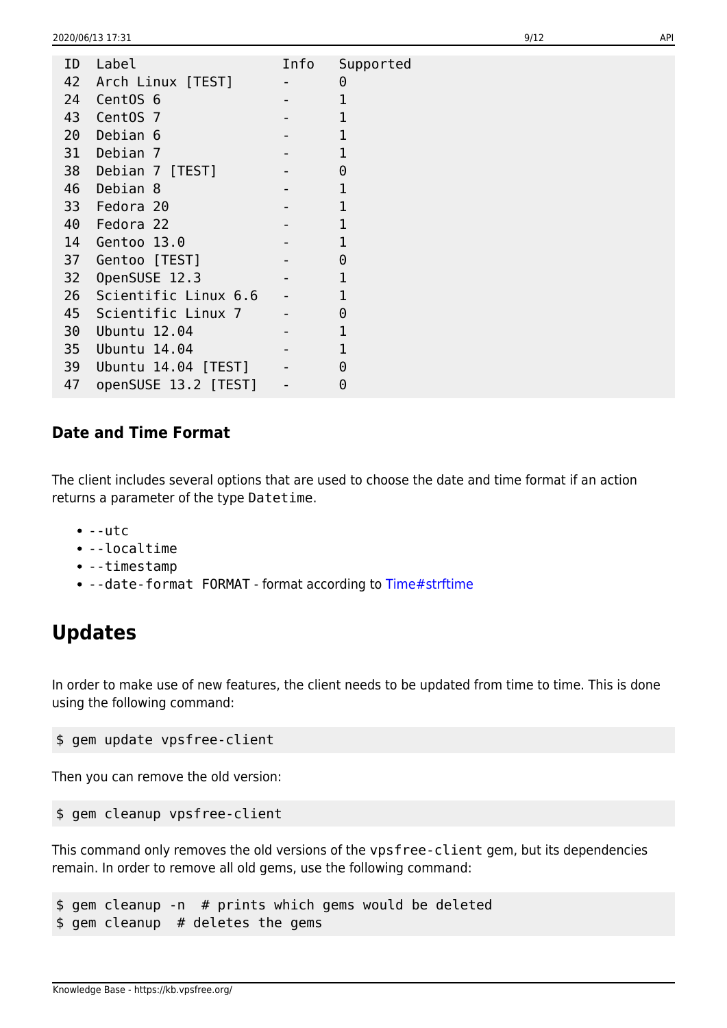| ID | Label                | Info                     | Supported    |
|----|----------------------|--------------------------|--------------|
| 42 | Arch Linux [TEST]    | $\overline{\phantom{a}}$ | $\Theta$     |
| 24 | CentOS <sub>6</sub>  |                          | 1            |
| 43 | CentOS 7             |                          | 1            |
| 20 | Debian 6             |                          | $\mathbf{1}$ |
| 31 | Debian 7             |                          | $\mathbf{1}$ |
| 38 | Debian 7 [TEST]      |                          | $\Theta$     |
| 46 | Debian 8             |                          | 1            |
| 33 | Fedora 20            |                          | $\mathbf{1}$ |
| 40 | Fedora 22            |                          | 1            |
| 14 | Gentoo 13.0          |                          | $\mathbf{1}$ |
| 37 | Gentoo [TEST]        |                          | $\Theta$     |
| 32 | OpenSUSE 12.3        |                          | 1            |
| 26 | Scientific Linux 6.6 | $\overline{\phantom{a}}$ | $\mathbf{1}$ |
| 45 | Scientific Linux 7   |                          | $\Theta$     |
| 30 | Ubuntu 12.04         |                          | 1            |
| 35 | Ubuntu 14.04         |                          | 1            |
| 39 | Ubuntu 14.04 [TEST]  | $\blacksquare$           | $\Theta$     |
| 47 | openSUSE 13.2 [TEST] | $\qquad \qquad -$        | 0            |
|    |                      |                          |              |

### **Date and Time Format**

The client includes several options that are used to choose the date and time format if an action returns a parameter of the type Datetime.

- $\bullet$  --utc
- --localtime
- --timestamp
- --date-format FORMAT format according to [Time#strftime](http://ruby-doc.org/core-2.3.0/Time.html#method-i-strftime)

## **Updates**

In order to make use of new features, the client needs to be updated from time to time. This is done using the following command:

```
$ gem update vpsfree-client
```
Then you can remove the old version:

```
$ gem cleanup vpsfree-client
```
This command only removes the old versions of the vpsfree-client gem, but its dependencies remain. In order to remove all old gems, use the following command:

\$ gem cleanup -n # prints which gems would be deleted \$ gem cleanup # deletes the gems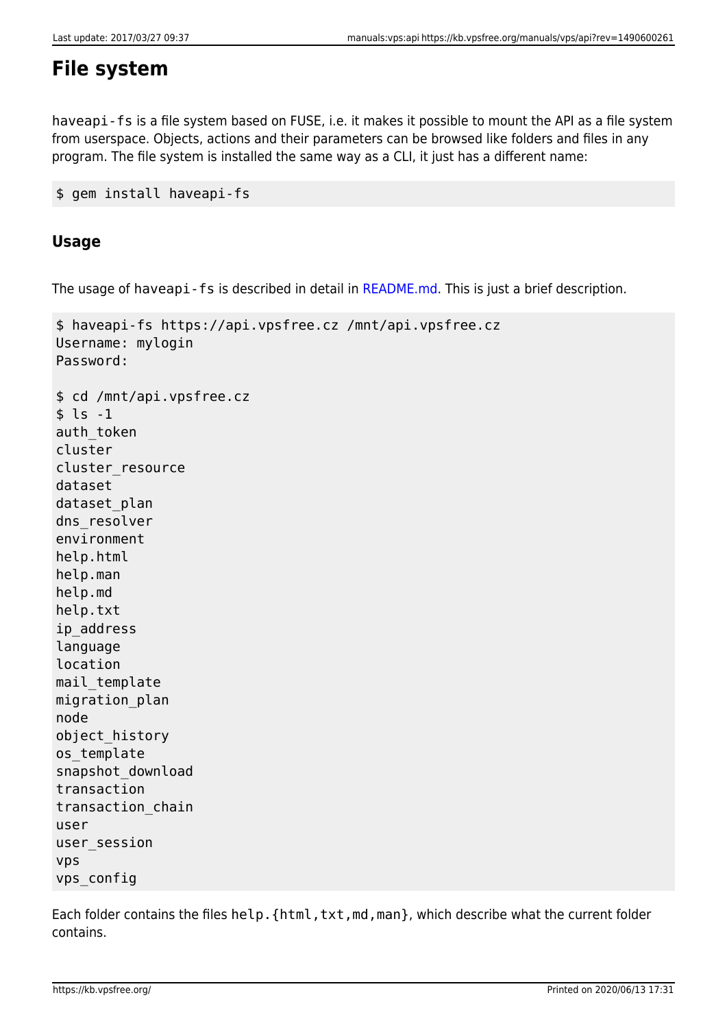## **File system**

haveapi-fs is a file system based on FUSE, i.e. it makes it possible to mount the API as a file system from userspace. Objects, actions and their parameters can be browsed like folders and files in any program. The file system is installed the same way as a CLI, it just has a different name:

```
$ gem install haveapi-fs
```
## **Usage**

The usage of haveapi-fs is described in detail in [README.md](https://github.com/vpsfreecz/haveapi-fs#usage). This is just a brief description.

```
$ haveapi-fs https://api.vpsfree.cz /mnt/api.vpsfree.cz
Username: mylogin
Password:
$ cd /mnt/api.vpsfree.cz
$ \;ls \; -1auth token
cluster
cluster_resource
dataset
dataset plan
dns resolver
environment
help.html
help.man
help.md
help.txt
ip_address
language
location
mail_template
migration_plan
node
object_history
os_template
snapshot_download
transaction
transaction_chain
user
user_session
vps
vps_config
```
Each folder contains the files help. {html,txt,md,man}, which describe what the current folder contains.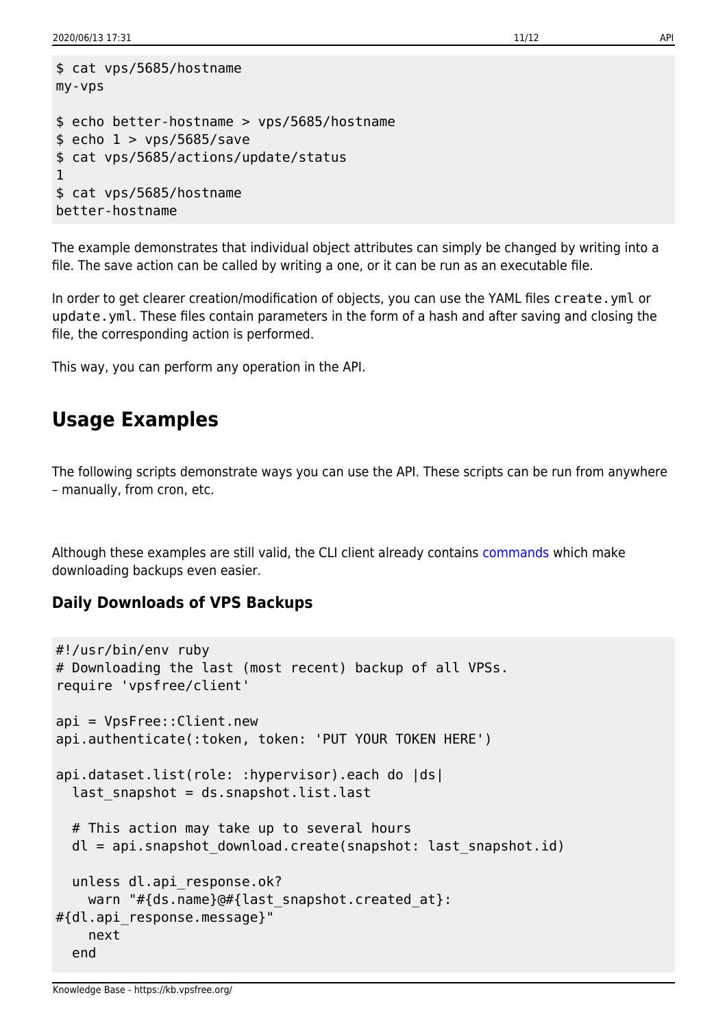```
$ cat vps/5685/hostname
my-vps
$ echo better-hostname > vps/5685/hostname
$echo 1 > vps/5685/save$ cat vps/5685/actions/update/status
1
$ cat vps/5685/hostname
better-hostname
```
The example demonstrates that individual object attributes can simply be changed by writing into a file. The save action can be called by writing a one, or it can be run as an executable file.

In order to get clearer creation/modification of objects, you can use the YAML files create.yml or update.yml. These files contain parameters in the form of a hash and after saving and closing the file, the corresponding action is performed.

This way, you can perform any operation in the API.

## **Usage Examples**

The following scripts demonstrate ways you can use the API. These scripts can be run from anywhere – manually, from cron, etc.

Although these examples are still valid, the CLI client already contains [commands](https://kb.vpsfree.org/manuals/vps/datasets#downloading_backups) which make downloading backups even easier.

### **Daily Downloads of VPS Backups**

```
#!/usr/bin/env ruby
# Downloading the last (most recent) backup of all VPSs.
require 'vpsfree/client'
api = VpsFree::Client.new
api.authenticate(:token, token: 'PUT YOUR TOKEN HERE')
api.dataset.list(role: :hypervisor).each do |ds|
  last snapshot = ds.snapshot.list.last
  # This action may take up to several hours
  dl = api.snapshot_download.create(snapshot: last_snapshot.id)
   unless dl.api_response.ok?
    warn "#{ds.name}@#{last_snapshot.created_at}:
#{dl.api_response.message}"
    next
   end
```